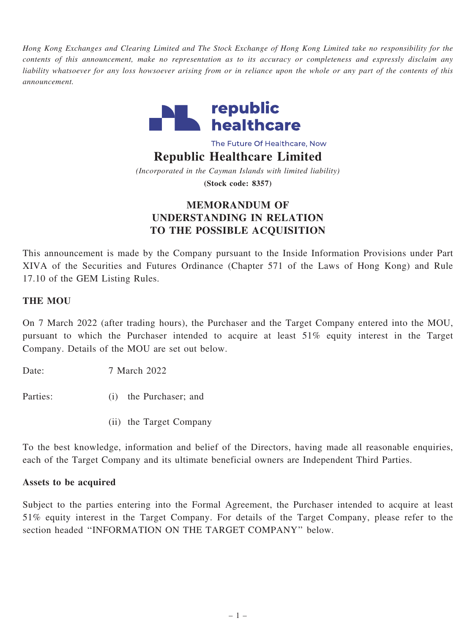Hong Kong Exchanges and Clearing Limited and The Stock Exchange of Hong Kong Limited take no responsibility for the contents of this announcement, make no representation as to its accuracy or completeness and expressly disclaim any liability whatsoever for any loss howsoever arising from or in reliance upon the whole or any part of the contents of this announcement.



The Future Of Healthcare, Now

## Republic Healthcare Limited

(Incorporated in the Cayman Islands with limited liability) (Stock code: 8357)

# MEMORANDUM OF UNDERSTANDING IN RELATION TO THE POSSIBLE ACQUISITION

This announcement is made by the Company pursuant to the Inside Information Provisions under Part XIVA of the Securities and Futures Ordinance (Chapter 571 of the Laws of Hong Kong) and Rule 17.10 of the GEM Listing Rules.

## THE MOU

On 7 March 2022 (after trading hours), the Purchaser and the Target Company entered into the MOU, pursuant to which the Purchaser intended to acquire at least 51% equity interest in the Target Company. Details of the MOU are set out below.

Date: 7 March 2022

- Parties: (i) the Purchaser; and
	- (ii) the Target Company

To the best knowledge, information and belief of the Directors, having made all reasonable enquiries, each of the Target Company and its ultimate beneficial owners are Independent Third Parties.

#### Assets to be acquired

Subject to the parties entering into the Formal Agreement, the Purchaser intended to acquire at least 51% equity interest in the Target Company. For details of the Target Company, please refer to the section headed ''INFORMATION ON THE TARGET COMPANY'' below.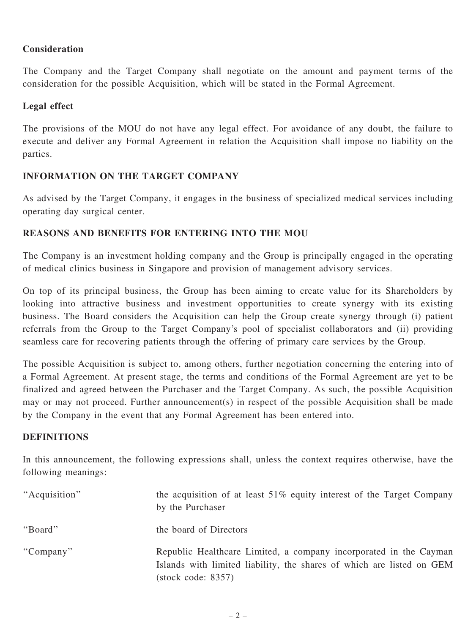# Consideration

The Company and the Target Company shall negotiate on the amount and payment terms of the consideration for the possible Acquisition, which will be stated in the Formal Agreement.

## Legal effect

The provisions of the MOU do not have any legal effect. For avoidance of any doubt, the failure to execute and deliver any Formal Agreement in relation the Acquisition shall impose no liability on the parties.

# INFORMATION ON THE TARGET COMPANY

As advised by the Target Company, it engages in the business of specialized medical services including operating day surgical center.

# REASONS AND BENEFITS FOR ENTERING INTO THE MOU

The Company is an investment holding company and the Group is principally engaged in the operating of medical clinics business in Singapore and provision of management advisory services.

On top of its principal business, the Group has been aiming to create value for its Shareholders by looking into attractive business and investment opportunities to create synergy with its existing business. The Board considers the Acquisition can help the Group create synergy through (i) patient referrals from the Group to the Target Company's pool of specialist collaborators and (ii) providing seamless care for recovering patients through the offering of primary care services by the Group.

The possible Acquisition is subject to, among others, further negotiation concerning the entering into of a Formal Agreement. At present stage, the terms and conditions of the Formal Agreement are yet to be finalized and agreed between the Purchaser and the Target Company. As such, the possible Acquisition may or may not proceed. Further announcement(s) in respect of the possible Acquisition shall be made by the Company in the event that any Formal Agreement has been entered into.

#### DEFINITIONS

In this announcement, the following expressions shall, unless the context requires otherwise, have the following meanings:

| "Acquisition" | the acquisition of at least 51% equity interest of the Target Company<br>by the Purchaser                                                                                 |
|---------------|---------------------------------------------------------------------------------------------------------------------------------------------------------------------------|
| "Board"       | the board of Directors                                                                                                                                                    |
| "Company"     | Republic Healthcare Limited, a company incorporated in the Cayman<br>Islands with limited liability, the shares of which are listed on GEM<br>$(\text{stock code}: 8357)$ |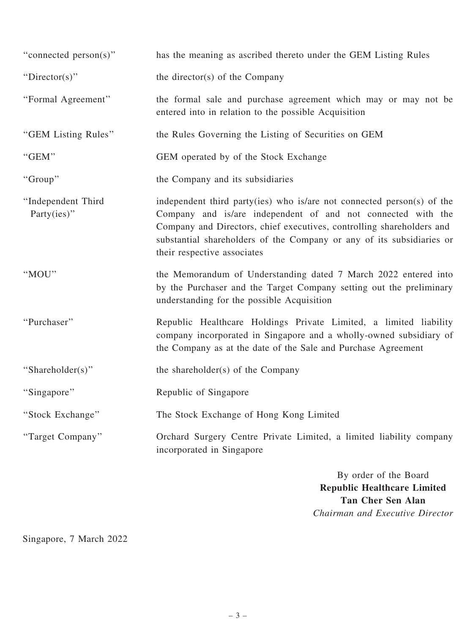| "connected person(s)"             | has the meaning as ascribed thereto under the GEM Listing Rules                                                                                                                                                                                                                                                         |
|-----------------------------------|-------------------------------------------------------------------------------------------------------------------------------------------------------------------------------------------------------------------------------------------------------------------------------------------------------------------------|
| "Director(s)"                     | the director(s) of the Company                                                                                                                                                                                                                                                                                          |
| "Formal Agreement"                | the formal sale and purchase agreement which may or may not be<br>entered into in relation to the possible Acquisition                                                                                                                                                                                                  |
| "GEM Listing Rules"               | the Rules Governing the Listing of Securities on GEM                                                                                                                                                                                                                                                                    |
| "GEM"                             | GEM operated by of the Stock Exchange                                                                                                                                                                                                                                                                                   |
| "Group"                           | the Company and its subsidiaries                                                                                                                                                                                                                                                                                        |
| "Independent Third<br>Party(ies)" | independent third party(ies) who is/are not connected person(s) of the<br>Company and is/are independent of and not connected with the<br>Company and Directors, chief executives, controlling shareholders and<br>substantial shareholders of the Company or any of its subsidiaries or<br>their respective associates |
| "MOU"                             | the Memorandum of Understanding dated 7 March 2022 entered into<br>by the Purchaser and the Target Company setting out the preliminary<br>understanding for the possible Acquisition                                                                                                                                    |
| "Purchaser"                       | Republic Healthcare Holdings Private Limited, a limited liability<br>company incorporated in Singapore and a wholly-owned subsidiary of<br>the Company as at the date of the Sale and Purchase Agreement                                                                                                                |
| "Shareholder(s)"                  | the shareholder(s) of the Company                                                                                                                                                                                                                                                                                       |
| "Singapore"                       | Republic of Singapore                                                                                                                                                                                                                                                                                                   |
| "Stock Exchange"                  | The Stock Exchange of Hong Kong Limited                                                                                                                                                                                                                                                                                 |
| "Target Company"                  | Orchard Surgery Centre Private Limited, a limited liability company<br>incorporated in Singapore                                                                                                                                                                                                                        |
|                                   | By order of the Board                                                                                                                                                                                                                                                                                                   |

Republic Healthcare Limited Tan Cher Sen Alan Chairman and Executive Director

Singapore, 7 March 2022